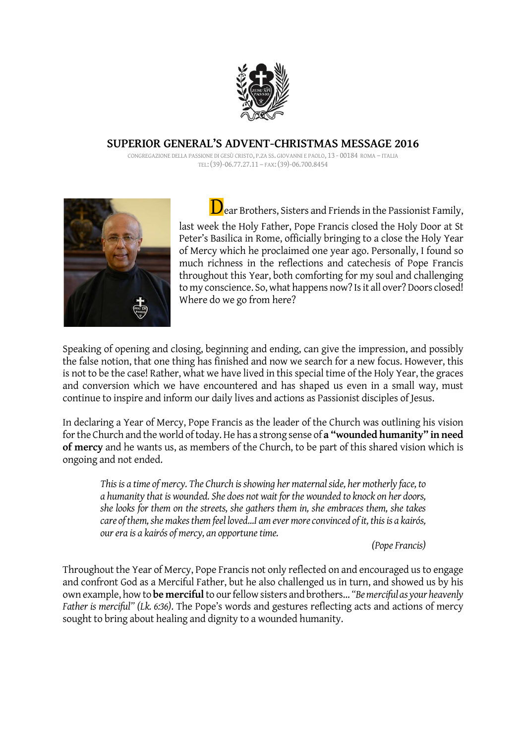

## SUPERIOR GENERAL'S ADVENT-CHRISTMAS MESSAGE 2016

CONGREGAZIONE DELLA PASSIONE DI GESÙ CRISTO, P.ZA SS. GIOVANNI E PAOLO, 13 - 00184 ROMA – ITALIA TEL:(39)-06.77.27.11 – FAX:(39)-06.700.8454



 $\mathbf D$  ear Brothers, Sisters and Friends in the Passionist Family, last week the Holy Father, Pope Francis closed the Holy Door at St Peter's Basilica in Rome, officially bringing to a close the Holy Year of Mercy which he proclaimed one year ago. Personally, I found so much richness in the reflections and catechesis of Pope Francis throughout this Year, both comforting for my soul and challenging to my conscience. So, what happens now? Is it all over? Doors closed! Where do we go from here?

Speaking of opening and closing, beginning and ending, can give the impression, and possibly the false notion, that one thing has finished and now we search for a new focus. However, this is not to be the case! Rather, what we have lived in this special time of the Holy Year, the graces and conversion which we have encountered and has shaped us even in a small way, must continue to inspire and inform our daily lives and actions as Passionist disciples of Jesus.

In declaring a Year of Mercy, Pope Francis as the leader of the Church was outlining his vision for the Church and the world of today. He has a strong sense of a "wounded humanity" in need of mercy and he wants us, as members of the Church, to be part of this shared vision which is ongoing and not ended.

This is a time of mercy. The Church is showing her maternal side, her motherly face, to a humanity that is wounded. She does not wait for the wounded to knock on her doors, she looks for them on the streets, she gathers them in, she embraces them, she takes care of them, she makes them feel loved…I am ever more convinced of it, this is a kairós, our era is a kairós of mercy, an opportune time.

(Pope Francis)

Throughout the Year of Mercy, Pope Francis not only reflected on and encouraged us to engage and confront God as a Merciful Father, but he also challenged us in turn, and showed us by his own example, how to be merciful to our fellow sisters and brothers… "Be merciful as your heavenly Father is merciful" (Lk. 6:36). The Pope's words and gestures reflecting acts and actions of mercy sought to bring about healing and dignity to a wounded humanity.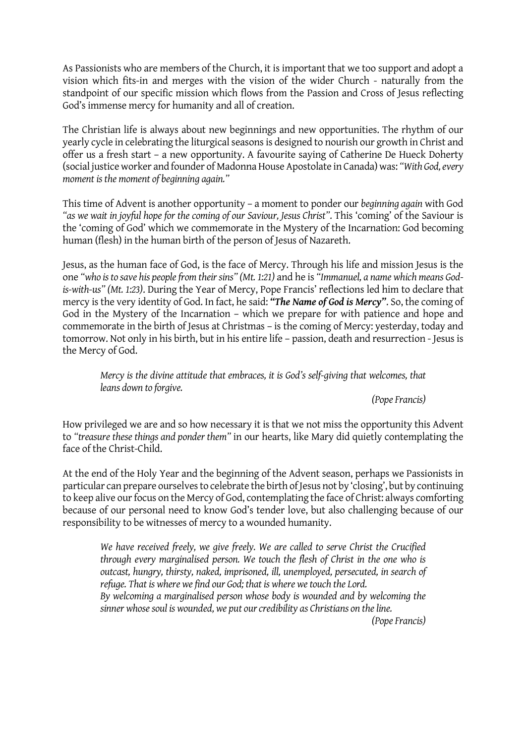As Passionists who are members of the Church, it is important that we too support and adopt a vision which fits-in and merges with the vision of the wider Church - naturally from the standpoint of our specific mission which flows from the Passion and Cross of Jesus reflecting God's immense mercy for humanity and all of creation.

The Christian life is always about new beginnings and new opportunities. The rhythm of our yearly cycle in celebrating the liturgical seasons is designed to nourish our growth in Christ and offer us a fresh start – a new opportunity. A favourite saying of Catherine De Hueck Doherty (social justice worker and founder of Madonna House Apostolate in Canada) was: "With God, every moment is the moment of beginning again."

This time of Advent is another opportunity – a moment to ponder our beginning again with God "as we wait in joyful hope for the coming of our Saviour, Jesus Christ". This 'coming' of the Saviour is the 'coming of God' which we commemorate in the Mystery of the Incarnation: God becoming human (flesh) in the human birth of the person of Jesus of Nazareth.

Jesus, as the human face of God, is the face of Mercy. Through his life and mission Jesus is the one "who is to save his people from their sins" (Mt. 1:21) and he is "Immanuel, a name which means Godis-with-us" (Mt. 1:23). During the Year of Mercy, Pope Francis' reflections led him to declare that mercy is the very identity of God. In fact, he said: "The Name of God is Mercy". So, the coming of God in the Mystery of the Incarnation – which we prepare for with patience and hope and commemorate in the birth of Jesus at Christmas – is the coming of Mercy: yesterday, today and tomorrow. Not only in his birth, but in his entire life – passion, death and resurrection - Jesus is the Mercy of God.

Mercy is the divine attitude that embraces, it is God's self-giving that welcomes, that leans down to forgive.

(Pope Francis)

How privileged we are and so how necessary it is that we not miss the opportunity this Advent to "treasure these things and ponder them" in our hearts, like Mary did quietly contemplating the face of the Christ-Child.

At the end of the Holy Year and the beginning of the Advent season, perhaps we Passionists in particular can prepare ourselves to celebrate the birth of Jesus not by 'closing', but by continuing to keep alive our focus on the Mercy of God, contemplating the face of Christ: always comforting because of our personal need to know God's tender love, but also challenging because of our responsibility to be witnesses of mercy to a wounded humanity.

We have received freely, we give freely. We are called to serve Christ the Crucified through every marginalised person. We touch the flesh of Christ in the one who is outcast, hungry, thirsty, naked, imprisoned, ill, unemployed, persecuted, in search of refuge. That is where we find our God; that is where we touch the Lord. By welcoming a marginalised person whose body is wounded and by welcoming the sinner whose soul is wounded, we put our credibility as Christians on the line.

(Pope Francis)